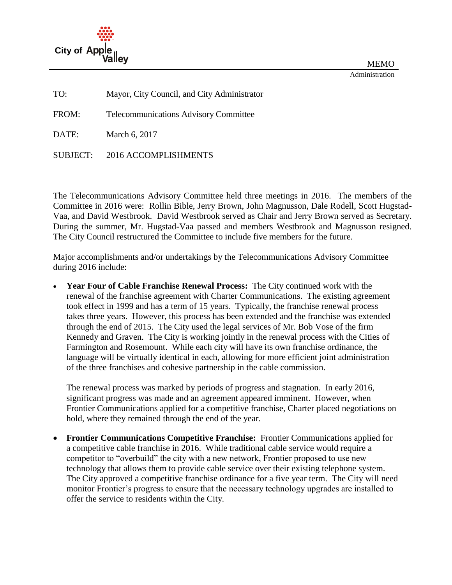

MEMO Administration

TO: Mayor, City Council, and City Administrator

FROM: Telecommunications Advisory Committee

DATE: March 6, 2017

SUBJECT: 2016 ACCOMPLISHMENTS

The Telecommunications Advisory Committee held three meetings in 2016. The members of the Committee in 2016 were: Rollin Bible, Jerry Brown, John Magnusson, Dale Rodell, Scott Hugstad-Vaa, and David Westbrook. David Westbrook served as Chair and Jerry Brown served as Secretary. During the summer, Mr. Hugstad-Vaa passed and members Westbrook and Magnusson resigned. The City Council restructured the Committee to include five members for the future.

Major accomplishments and/or undertakings by the Telecommunications Advisory Committee during 2016 include:

 **Year Four of Cable Franchise Renewal Process:** The City continued work with the renewal of the franchise agreement with Charter Communications. The existing agreement took effect in 1999 and has a term of 15 years. Typically, the franchise renewal process takes three years. However, this process has been extended and the franchise was extended through the end of 2015. The City used the legal services of Mr. Bob Vose of the firm Kennedy and Graven. The City is working jointly in the renewal process with the Cities of Farmington and Rosemount. While each city will have its own franchise ordinance, the language will be virtually identical in each, allowing for more efficient joint administration of the three franchises and cohesive partnership in the cable commission.

The renewal process was marked by periods of progress and stagnation. In early 2016, significant progress was made and an agreement appeared imminent. However, when Frontier Communications applied for a competitive franchise, Charter placed negotiations on hold, where they remained through the end of the year.

 **Frontier Communications Competitive Franchise:** Frontier Communications applied for a competitive cable franchise in 2016. While traditional cable service would require a competitor to "overbuild" the city with a new network, Frontier proposed to use new technology that allows them to provide cable service over their existing telephone system. The City approved a competitive franchise ordinance for a five year term. The City will need monitor Frontier's progress to ensure that the necessary technology upgrades are installed to offer the service to residents within the City.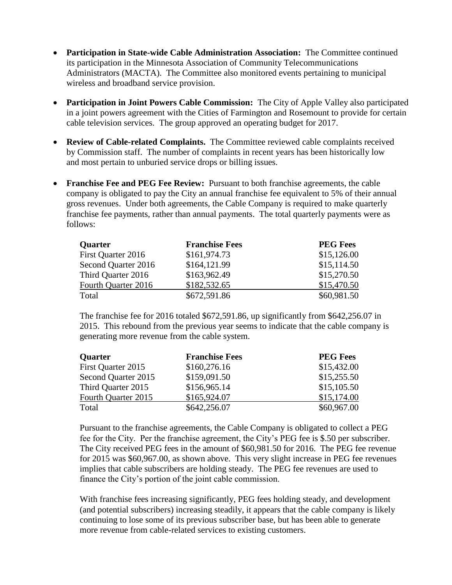- **Participation in State-wide Cable Administration Association:** The Committee continued its participation in the Minnesota Association of Community Telecommunications Administrators (MACTA). The Committee also monitored events pertaining to municipal wireless and broadband service provision.
- **Participation in Joint Powers Cable Commission:** The City of Apple Valley also participated in a joint powers agreement with the Cities of Farmington and Rosemount to provide for certain cable television services. The group approved an operating budget for 2017.
- **Review of Cable-related Complaints.** The Committee reviewed cable complaints received by Commission staff. The number of complaints in recent years has been historically low and most pertain to unburied service drops or billing issues.
- **Franchise Fee and PEG Fee Review:** Pursuant to both franchise agreements, the cable company is obligated to pay the City an annual franchise fee equivalent to 5% of their annual gross revenues. Under both agreements, the Cable Company is required to make quarterly franchise fee payments, rather than annual payments. The total quarterly payments were as follows:

| <b>Quarter</b>      | <b>Franchise Fees</b> | <b>PEG Fees</b> |
|---------------------|-----------------------|-----------------|
| First Quarter 2016  | \$161,974.73          | \$15,126.00     |
| Second Quarter 2016 | \$164,121.99          | \$15,114.50     |
| Third Quarter 2016  | \$163,962.49          | \$15,270.50     |
| Fourth Quarter 2016 | \$182,532.65          | \$15,470.50     |
| Total               | \$672,591.86          | \$60,981.50     |

The franchise fee for 2016 totaled \$672,591.86, up significantly from \$642,256.07 in 2015. This rebound from the previous year seems to indicate that the cable company is generating more revenue from the cable system.

| <b>Quarter</b>      | <b>Franchise Fees</b> | <b>PEG Fees</b> |
|---------------------|-----------------------|-----------------|
| First Quarter 2015  | \$160,276.16          | \$15,432.00     |
| Second Quarter 2015 | \$159,091.50          | \$15,255.50     |
| Third Quarter 2015  | \$156,965.14          | \$15,105.50     |
| Fourth Quarter 2015 | \$165,924.07          | \$15,174.00     |
| Total               | \$642,256.07          | \$60,967.00     |

Pursuant to the franchise agreements, the Cable Company is obligated to collect a PEG fee for the City. Per the franchise agreement, the City's PEG fee is \$.50 per subscriber. The City received PEG fees in the amount of \$60,981.50 for 2016. The PEG fee revenue for 2015 was \$60,967.00, as shown above. This very slight increase in PEG fee revenues implies that cable subscribers are holding steady. The PEG fee revenues are used to finance the City's portion of the joint cable commission.

With franchise fees increasing significantly, PEG fees holding steady, and development (and potential subscribers) increasing steadily, it appears that the cable company is likely continuing to lose some of its previous subscriber base, but has been able to generate more revenue from cable-related services to existing customers.